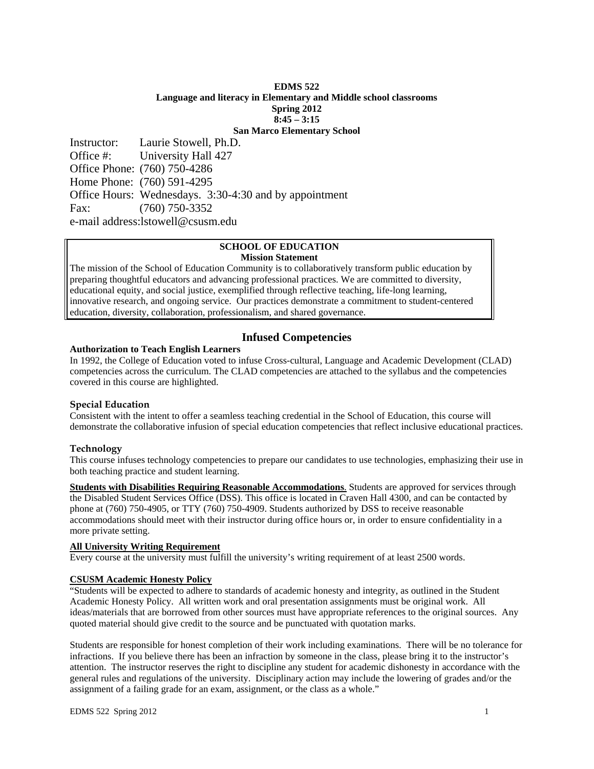## **EDMS 522 Language and literacy in Elementary and Middle school classrooms Spring 2012 8:45 – 3:15 San Marco Elementary School**

Instructor: Laurie Stowell, Ph.D. Office #: University Hall 427 Office Phone: (760) 750-4286 Home Phone: (760) 591-4295 Office Hours: Wednesdays. 3:30-4:30 and by appointment Fax: (760) 750-3352

e-mail address:lstowell@csusm.edu

#### **SCHOOL OF EDUCATION Mission Statement**

The mission of the School of Education Community is to collaboratively transform public education by preparing thoughtful educators and advancing professional practices. We are committed to diversity, educational equity, and social justice, exemplified through reflective teaching, life-long learning, innovative research, and ongoing service. Our practices demonstrate a commitment to student-centered education, diversity, collaboration, professionalism, and shared governance.

# **Infused Competencies**

#### **Authorization to Teach English Learners**

In 1992, the College of Education voted to infuse Cross-cultural, Language and Academic Development (CLAD) competencies across the curriculum. The CLAD competencies are attached to the syllabus and the competencies covered in this course are highlighted.

#### **Special Education**

Consistent with the intent to offer a seamless teaching credential in the School of Education, this course will demonstrate the collaborative infusion of special education competencies that reflect inclusive educational practices.

# **Technology**

This course infuses technology competencies to prepare our candidates to use technologies, emphasizing their use in both teaching practice and student learning.

 more private setting. **Students with Disabilities Requiring Reasonable Accommodations**. Students are approved for services through the Disabled Student Services Office (DSS). This office is located in Craven Hall 4300, and can be contacted by phone at (760) 750-4905, or TTY (760) 750-4909. Students authorized by DSS to receive reasonable accommodations should meet with their instructor during office hours or, in order to ensure confidentiality in a

# **All University Writing Requirement**

Every course at the university must fulfill the university's writing requirement of at least 2500 words.

## **CSUSM Academic Honesty Policy**

"Students will be expected to adhere to standards of academic honesty and integrity, as outlined in the Student Academic Honesty Policy. All written work and oral presentation assignments must be original work. All ideas/materials that are borrowed from other sources must have appropriate references to the original sources. Any quoted material should give credit to the source and be punctuated with quotation marks.

Students are responsible for honest completion of their work including examinations. There will be no tolerance for infractions. If you believe there has been an infraction by someone in the class, please bring it to the instructor's attention. The instructor reserves the right to discipline any student for academic dishonesty in accordance with the general rules and regulations of the university. Disciplinary action may include the lowering of grades and/or the assignment of a failing grade for an exam, assignment, or the class as a whole."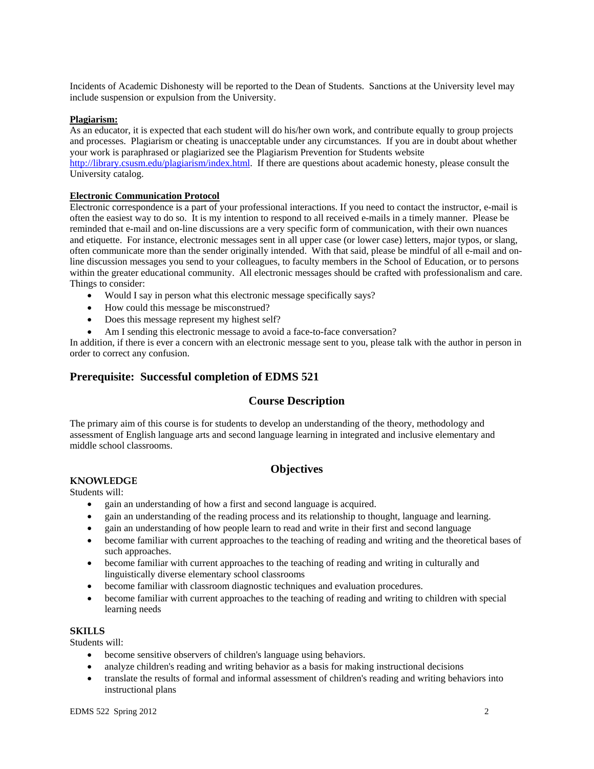Incidents of Academic Dishonesty will be reported to the Dean of Students. Sanctions at the University level may include suspension or expulsion from the University.

#### **Plagiarism:**

As an educator, it is expected that each student will do his/her own work, and contribute equally to group projects and processes. Plagiarism or cheating is unacceptable under any circumstances. If you are in doubt about whether your work is paraphrased or plagiarized see the Plagiarism Prevention for Students website http://library.csusm.edu/plagiarism/index.html. If there are questions about academic honesty, please consult the University catalog.

#### **Electronic Communication Protocol**

Electronic correspondence is a part of your professional interactions. If you need to contact the instructor, e-mail is often the easiest way to do so. It is my intention to respond to all received e-mails in a timely manner. Please be reminded that e-mail and on-line discussions are a very specific form of communication, with their own nuances and etiquette. For instance, electronic messages sent in all upper case (or lower case) letters, major typos, or slang, often communicate more than the sender originally intended. With that said, please be mindful of all e-mail and online discussion messages you send to your colleagues, to faculty members in the School of Education, or to persons within the greater educational community. All electronic messages should be crafted with professionalism and care. Things to consider:

- Would I say in person what this electronic message specifically says?
- How could this message be misconstrued?
- Does this message represent my highest self?
- Am I sending this electronic message to avoid a face-to-face conversation?

In addition, if there is ever a concern with an electronic message sent to you, please talk with the author in person in order to correct any confusion.

# **Prerequisite: Successful completion of EDMS 521**

# **Course Description**

The primary aim of this course is for students to develop an understanding of the theory, methodology and assessment of English language arts and second language learning in integrated and inclusive elementary and middle school classrooms.

# **Objectives**

#### **KNOWLEDGE**

Students will:

- gain an understanding of how a first and second language is acquired.
- gain an understanding of the reading process and its relationship to thought, language and learning.
- gain an understanding of how people learn to read and write in their first and second language
- become familiar with current approaches to the teaching of reading and writing and the theoretical bases of such approaches.
- become familiar with current approaches to the teaching of reading and writing in culturally and linguistically diverse elementary school classrooms
- become familiar with classroom diagnostic techniques and evaluation procedures.
- become familiar with current approaches to the teaching of reading and writing to children with special learning needs

# **SKILLS**

Students will:

- become sensitive observers of children's language using behaviors.
- analyze children's reading and writing behavior as a basis for making instructional decisions
- translate the results of formal and informal assessment of children's reading and writing behaviors into instructional plans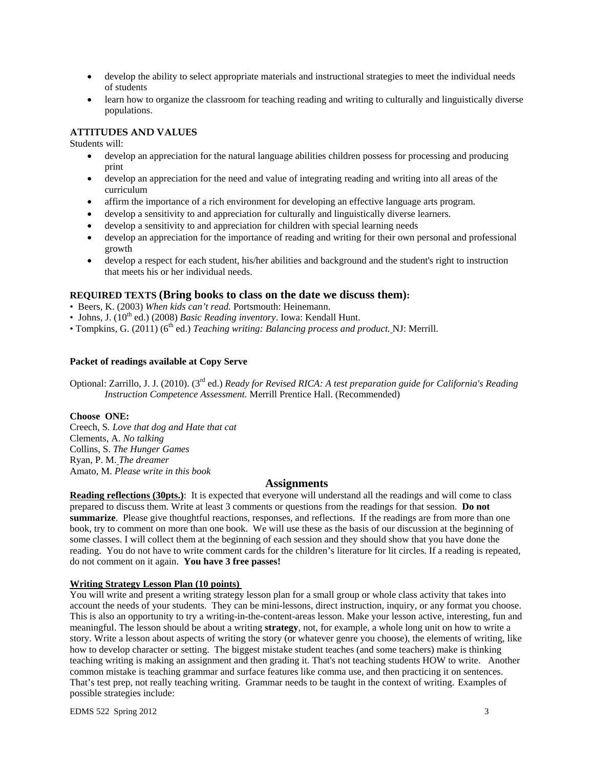- develop the ability to select appropriate materials and instructional strategies to meet the individual needs of students
- learn how to organize the classroom for teaching reading and writing to culturally and linguistically diverse populations.

# **ATTITUDES AND VALUES**

Students will:

- develop an appreciation for the natural language abilities children possess for processing and producing print
- develop an appreciation for the need and value of integrating reading and writing into all areas of the curriculum
- affirm the importance of a rich environment for developing an effective language arts program.
- develop a sensitivity to and appreciation for culturally and linguistically diverse learners.
- develop a sensitivity to and appreciation for children with special learning needs
- develop an appreciation for the importance of reading and writing for their own personal and professional growth
- develop a respect for each student, his/her abilities and background and the student's right to instruction that meets his or her individual needs.

# **REQUIRED TEXTS (Bring books to class on the date we discuss them):**

- Beers, K. (2003) *When kids can't read.* Portsmouth: Heinemann.
- Johns, J. (10<sup>th</sup> ed.) (2008) *Basic Reading inventory*. Iowa: Kendall Hunt.
- Tompkins, G. (2011) (6th ed.) *Teaching writing: Balancing process and product.* NJ: Merrill.

# **Packet of readings available at Copy Serve**

Optional: Zarrillo, J. J. (2010). (3rd ed.) *Ready for Revised RICA: A test preparation guide for California's Reading Instruction Competence Assessment.* Merrill Prentice Hall. (Recommended)

# **Choose ONE:**

Creech, S*. Love that dog and Hate that cat*  Clements, A. *No talking*  Collins, S. *The Hunger Games*  Ryan, P. M. *The dreamer*  Amato, M. *Please write in this book* 

# **Assignments**

**Reading reflections (30pts.)**: It is expected that everyone will understand all the readings and will come to class prepared to discuss them. Write at least 3 comments or questions from the readings for that session. **Do not summarize**. Please give thoughtful reactions, responses, and reflections. If the readings are from more than one book, try to comment on more than one book. We will use these as the basis of our discussion at the beginning of some classes. I will collect them at the beginning of each session and they should show that you have done the reading. You do not have to write comment cards for the children's literature for lit circles. If a reading is repeated, do not comment on it again. **You have 3 free passes!** 

# **Writing Strategy Lesson Plan (10 points)**

possible strategies include: You will write and present a writing strategy lesson plan for a small group or whole class activity that takes into account the needs of your students. They can be mini-lessons, direct instruction, inquiry, or any format you choose. This is also an opportunity to try a writing-in-the-content-areas lesson. Make your lesson active, interesting, fun and meaningful. The lesson should be about a writing **strategy**, not, for example, a whole long unit on how to write a story. Write a lesson about aspects of writing the story (or whatever genre you choose), the elements of writing, like how to develop character or setting. The biggest mistake student teaches (and some teachers) make is thinking teaching writing is making an assignment and then grading it. That's not teaching students HOW to write. Another common mistake is teaching grammar and surface features like comma use, and then practicing it on sentences. That's test prep, not really teaching writing. Grammar needs to be taught in the context of writing. Examples of possible strategies include:<br>
EDMS 522 Spring 2012 3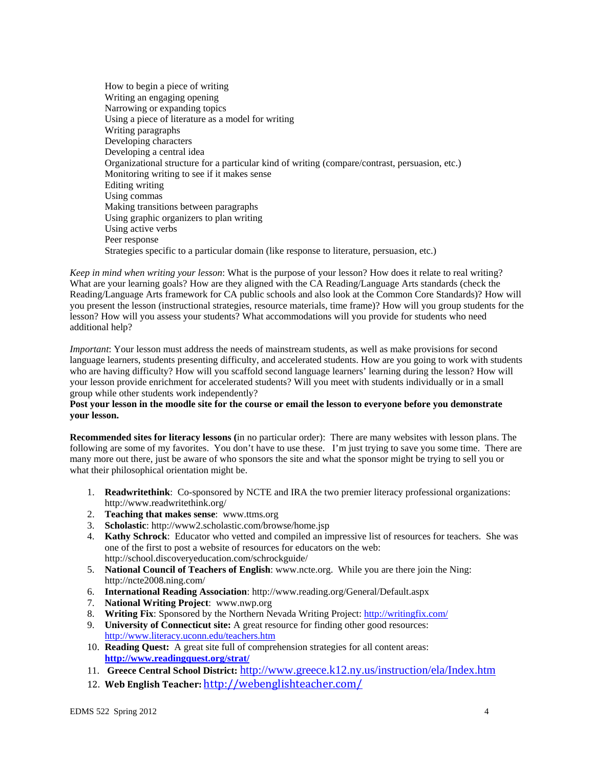How to begin a piece of writing Writing an engaging opening Narrowing or expanding topics Using a piece of literature as a model for writing Writing paragraphs Developing characters Developing a central idea Organizational structure for a particular kind of writing (compare/contrast, persuasion, etc.) Monitoring writing to see if it makes sense Editing writing Using commas Making transitions between paragraphs Using graphic organizers to plan writing Using active verbs Peer response Strategies specific to a particular domain (like response to literature, persuasion, etc.)

 additional help? *Keep in mind when writing your lesson*: What is the purpose of your lesson? How does it relate to real writing? What are your learning goals? How are they aligned with the CA Reading/Language Arts standards (check the Reading/Language Arts framework for CA public schools and also look at the Common Core Standards)? How will you present the lesson (instructional strategies, resource materials, time frame)? How will you group students for the lesson? How will you assess your students? What accommodations will you provide for students who need

 group while other students work independently? *Important*: Your lesson must address the needs of mainstream students, as well as make provisions for second language learners, students presenting difficulty, and accelerated students. How are you going to work with students who are having difficulty? How will you scaffold second language learners' learning during the lesson? How will your lesson provide enrichment for accelerated students? Will you meet with students individually or in a small

#### **Post your lesson in the moodle site for the course or email the lesson to everyone before you demonstrate your lesson.**

**Recommended sites for literacy lessons (**in no particular order): There are many websites with lesson plans. The following are some of my favorites. You don't have to use these. I'm just trying to save you some time. There are many more out there, just be aware of who sponsors the site and what the sponsor might be trying to sell you or what their philosophical orientation might be.

- 1. **Readwritethink**: Co-sponsored by NCTE and IRA the two premier literacy professional organizations: http://www.readwritethink.org/
- 2. **Teaching that makes sense**: www.ttms.org
- 3. **Scholastic**: http://www2.scholastic.com/browse/home.jsp
- 4. **Kathy Schrock**: Educator who vetted and compiled an impressive list of resources for teachers. She was one of the first to post a website of resources for educators on the web: http://school.discoveryeducation.com/schrockguide/
- 5. **National Council of Teachers of English**: www.ncte.org. While you are there join the Ning: http://ncte2008.ning.com/
- 6. **International Reading Association**: http://www.reading.org/General/Default.aspx
- 7. **National Writing Project**: www.nwp.org
- 8. **Writing Fix**: Sponsored by the Northern Nevada Writing Project: http://writingfix.com/
- 9. **University of Connecticut site:** A great resource for finding other good resources: http://www.literacy.uconn.edu/teachers.htm
- 10. **Reading Quest:** A great site full of comprehension strategies for all content areas: **http://www.readingquest.org/strat/**
- 11. **Greece Central School District:** http://www.greece.k12.ny.us/instruction/ela/Index.htm
- 12. **Web English Teacher:** http://webenglishteacher.com/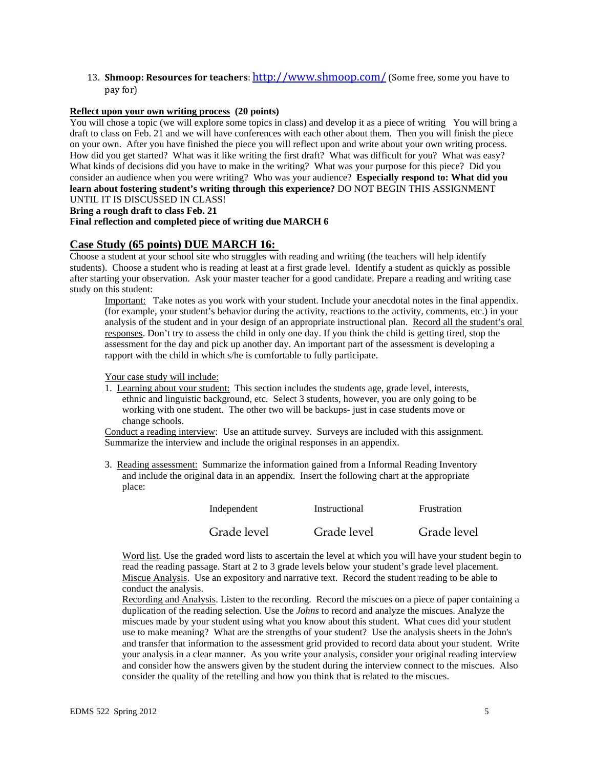13. **Shmoop: Resources for teachers**: http://www.shmoop.com/ (Some free, some you have to pay for)

#### **Reflect upon your own writing process (20 points)**

How did you get started? What was it like writing the first draft? What was difficult for you? What was easy?<br>What kinds of decisions did you have to make in the writing? What was your purpose for this piece? Did you consider an audience when you were writing? Who was your audience? **Especially respond to: What did you**  You will chose a topic (we will explore some topics in class) and develop it as a piece of writing You will bring a draft to class on Feb. 21 and we will have conferences with each other about them. Then you will finish the piece on your own. After you have finished the piece you will reflect upon and write about your own writing process. **learn about fostering student's writing through this experience?** DO NOT BEGIN THIS ASSIGNMENT UNTIL IT IS DISCUSSED IN CLASS!

#### **Bring a rough draft to class Feb. 21**

#### **Final reflection and completed piece of writing due MARCH 6**

# **Case Study (65 points) DUE MARCH 16:**

study on this student: Choose a student at your school site who struggles with reading and writing (the teachers will help identify students). Choose a student who is reading at least at a first grade level. Identify a student as quickly as possible after starting your observation. Ask your master teacher for a good candidate. Prepare a reading and writing case

Important: Take notes as you work with your student. Include your anecdotal notes in the final appendix. (for example, your student's behavior during the activity, reactions to the activity, comments, etc.) in your analysis of the student and in your design of an appropriate instructional plan. Record all the student's oral responses. Don't try to assess the child in only one day. If you think the child is getting tired, stop the assessment for the day and pick up another day. An important part of the assessment is developing a rapport with the child in which s/he is comfortable to fully participate.

Your case study will include:

1. Learning about your student: This section includes the students age, grade level, interests, ethnic and linguistic background, etc. Select 3 students, however, you are only going to be working with one student. The other two will be backups- just in case students move or change schools.

Conduct a reading interview: Use an attitude survey. Surveys are included with this assignment. Summarize the interview and include the original responses in an appendix.

3. Reading assessment: Summarize the information gained from a Informal Reading Inventory and include the original data in an appendix. Insert the following chart at the appropriate place:

| Independent | Instructional | Frustration |
|-------------|---------------|-------------|
| Grade level | Grade level   | Grade level |

Word list. Use the graded word lists to ascertain the level at which you will have your student begin to read the reading passage. Start at 2 to 3 grade levels below your student's grade level placement. Miscue Analysis. Use an expository and narrative text. Record the student reading to be able to conduct the analysis.

Recording and Analysis. Listen to the recording. Record the miscues on a piece of paper containing a duplication of the reading selection. Use the *Johns* to record and analyze the miscues. Analyze the miscues made by your student using what you know about this student. What cues did your student use to make meaning? What are the strengths of your student? Use the analysis sheets in the John's and transfer that information to the assessment grid provided to record data about your student. Write your analysis in a clear manner. As you write your analysis, consider your original reading interview and consider how the answers given by the student during the interview connect to the miscues. Also consider the quality of the retelling and how you think that is related to the miscues.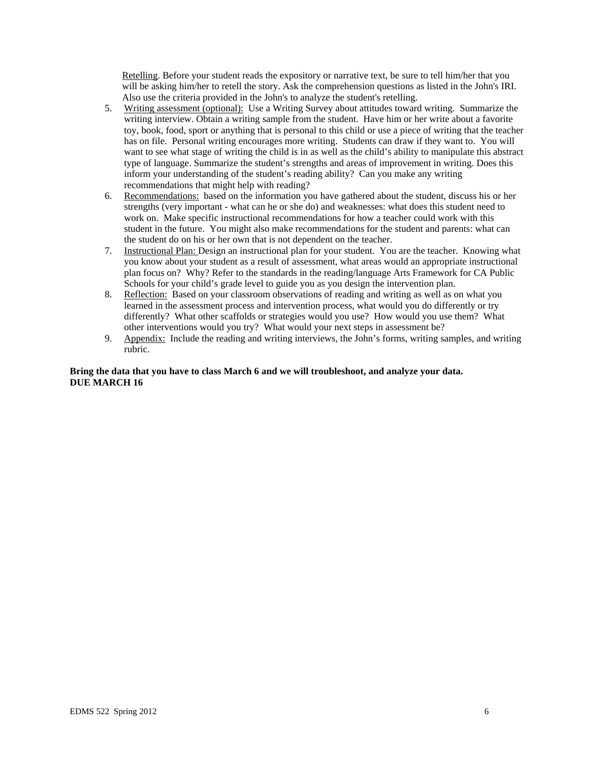Retelling. Before your student reads the expository or narrative text, be sure to tell him/her that you will be asking him/her to retell the story. Ask the comprehension questions as listed in the John's IRI. Also use the criteria provided in the John's to analyze the student's retelling.

- 5. Writing assessment (optional): Use a Writing Survey about attitudes toward writing. Summarize the writing interview. Obtain a writing sample from the student. Have him or her write about a favorite toy, book, food, sport or anything that is personal to this child or use a piece of writing that the teacher has on file. Personal writing encourages more writing. Students can draw if they want to. You will want to see what stage of writing the child is in as well as the child's ability to manipulate this abstract type of language. Summarize the student's strengths and areas of improvement in writing. Does this inform your understanding of the student's reading ability? Can you make any writing recommendations that might help with reading?
- 6. Recommendations: based on the information you have gathered about the student, discuss his or her strengths (very important - what can he or she do) and weaknesses: what does this student need to work on. Make specific instructional recommendations for how a teacher could work with this student in the future. You might also make recommendations for the student and parents: what can the student do on his or her own that is not dependent on the teacher.
- 7. Instructional Plan: Design an instructional plan for your student. You are the teacher. Knowing what you know about your student as a result of assessment, what areas would an appropriate instructional plan focus on? Why? Refer to the standards in the reading/language Arts Framework for CA Public Schools for your child's grade level to guide you as you design the intervention plan.
- 8. Reflection: Based on your classroom observations of reading and writing as well as on what you learned in the assessment process and intervention process, what would you do differently or try differently? What other scaffolds or strategies would you use? How would you use them? What other interventions would you try? What would your next steps in assessment be?
- 9. Appendix: Include the reading and writing interviews, the John's forms, writing samples, and writing rubric.

# **Bring the data that you have to class March 6 and we will troubleshoot, and analyze your data. DUE MARCH 16**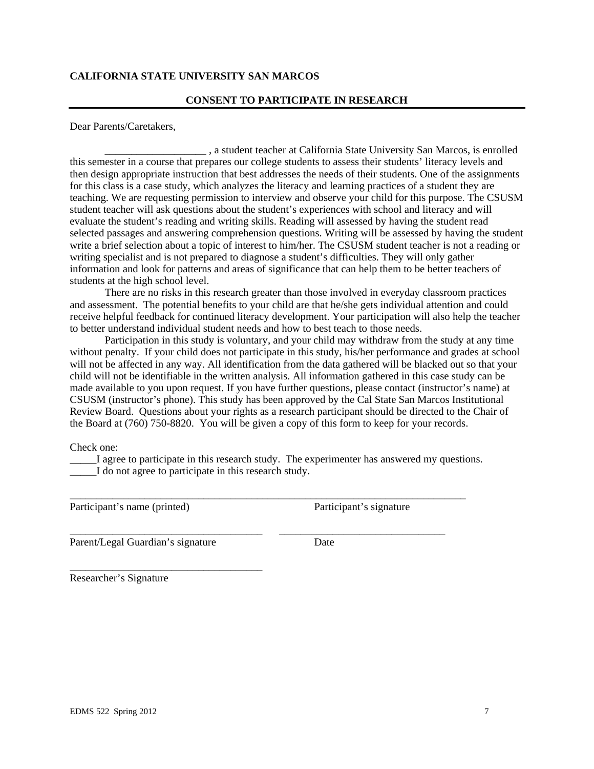# **CALIFORNIA STATE UNIVERSITY SAN MARCOS**

## **CONSENT TO PARTICIPATE IN RESEARCH**

Dear Parents/Caretakers,

\_\_\_\_\_\_\_\_\_\_\_\_\_\_\_\_\_\_\_ , a student teacher at California State University San Marcos, is enrolled this semester in a course that prepares our college students to assess their students' literacy levels and then design appropriate instruction that best addresses the needs of their students. One of the assignments for this class is a case study, which analyzes the literacy and learning practices of a student they are teaching. We are requesting permission to interview and observe your child for this purpose. The CSUSM student teacher will ask questions about the student's experiences with school and literacy and will evaluate the student's reading and writing skills. Reading will assessed by having the student read selected passages and answering comprehension questions. Writing will be assessed by having the student write a brief selection about a topic of interest to him/her. The CSUSM student teacher is not a reading or writing specialist and is not prepared to diagnose a student's difficulties. They will only gather information and look for patterns and areas of significance that can help them to be better teachers of students at the high school level.

There are no risks in this research greater than those involved in everyday classroom practices and assessment. The potential benefits to your child are that he/she gets individual attention and could receive helpful feedback for continued literacy development. Your participation will also help the teacher to better understand individual student needs and how to best teach to those needs.

Participation in this study is voluntary, and your child may withdraw from the study at any time without penalty. If your child does not participate in this study, his/her performance and grades at school will not be affected in any way. All identification from the data gathered will be blacked out so that your child will not be identifiable in the written analysis. All information gathered in this case study can be made available to you upon request. If you have further questions, please contact (instructor's name) at CSUSM (instructor's phone). This study has been approved by the Cal State San Marcos Institutional Review Board. Questions about your rights as a research participant should be directed to the Chair of the Board at (760) 750-8820. You will be given a copy of this form to keep for your records.

Check one:

\_\_\_\_\_I agree to participate in this research study. The experimenter has answered my questions. I do not agree to participate in this research study.

\_\_\_\_\_\_\_\_\_\_\_\_\_\_\_\_\_\_\_\_\_\_\_\_\_\_\_\_\_\_\_\_\_\_\_\_\_\_\_\_\_\_\_\_\_\_\_\_\_\_\_\_\_\_\_\_\_\_\_\_\_\_\_\_\_\_\_\_\_\_\_\_\_\_

\_\_\_\_\_\_\_\_\_\_\_\_\_\_\_\_\_\_\_\_\_\_\_\_\_\_\_\_\_\_\_\_\_\_\_\_ \_\_\_\_\_\_\_\_\_\_\_\_\_\_\_\_\_\_\_\_\_\_\_\_\_\_\_\_\_\_\_

Participant's name (printed) Participant's signature

Parent/Legal Guardian's signature Date

\_\_\_\_\_\_\_\_\_\_\_\_\_\_\_\_\_\_\_\_\_\_\_\_\_\_\_\_\_\_\_\_\_\_\_\_

Researcher's Signature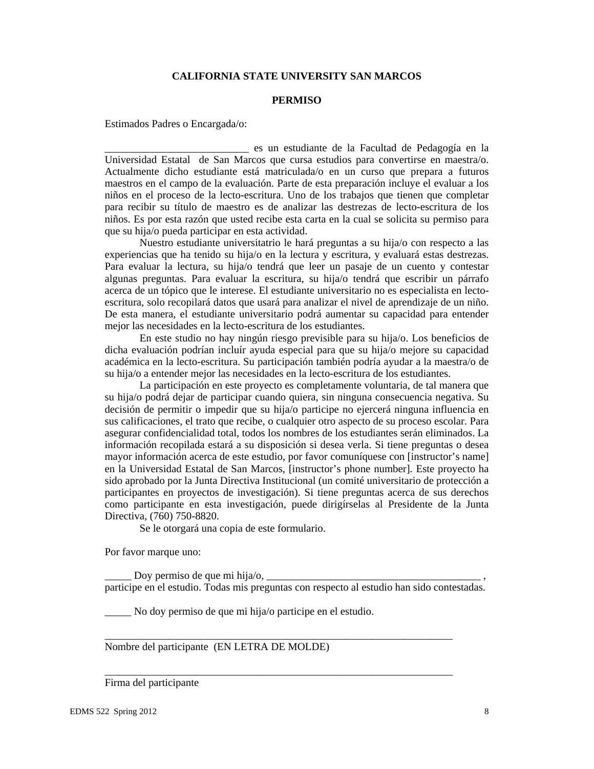# **CALIFORNIA STATE UNIVERSITY SAN MARCOS**

#### **PERMISO**

Estimados Padres o Encargada/o:

\_\_\_\_\_\_\_\_\_\_\_\_\_\_\_\_\_\_\_\_\_\_\_\_\_\_\_ es un estudiante de la Facultad de Pedagogía en la Universidad Estatal de San Marcos que cursa estudios para convertirse en maestra/o. Actualmente dicho estudiante está matriculada/o en un curso que prepara a futuros maestros en el campo de la evaluación. Parte de esta preparación incluye el evaluar a los niños en el proceso de la lecto-escritura. Uno de los trabajos que tienen que completar para recibir su título de maestro es de analizar las destrezas de lecto-escritura de los niños. Es por esta razón que usted recibe esta carta en la cual se solicita su permiso para que su hija/o pueda participar en esta actividad.

Nuestro estudiante universitatrio le hará preguntas a su hija/o con respecto a las experiencias que ha tenido su hija/o en la lectura y escritura, y evaluará estas destrezas. Para evaluar la lectura, su hija/o tendrá que leer un pasaje de un cuento y contestar algunas preguntas. Para evaluar la escritura, su hija/o tendrá que escribir un párrafo acerca de un tópico que le interese. El estudiante universitario no es especialista en lectoescritura, solo recopilará datos que usará para analizar el nivel de aprendizaje de un niño. De esta manera, el estudiante universitario podrá aumentar su capacidad para entender mejor las necesidades en la lecto-escritura de los estudiantes.

En este studio no hay ningún riesgo previsible para su hija/o. Los beneficios de dicha evaluación podrían incluír ayuda especial para que su hija/o mejore su capacidad académica en la lecto-escritura. Su participación también podría ayudar a la maestra/o de su hija/o a entender mejor las necesidades en la lecto-escritura de los estudiantes.

La participación en este proyecto es completamente voluntaria, de tal manera que su hija/o podrá dejar de participar cuando quiera, sin ninguna consecuencia negativa. Su decisión de permitir o impedir que su hija/o participe no ejercerá ninguna influencia en sus calificaciones, el trato que recibe, o cualquier otro aspecto de su proceso escolar. Para asegurar confidencialidad total, todos los nombres de los estudiantes serán eliminados. La información recopilada estará a su disposición si desea verla. Si tiene preguntas o desea mayor información acerca de este estudio, por favor comuníquese con [instructor's name] en la Universidad Estatal de San Marcos, [instructor's phone number]. Este proyecto ha sido aprobado por la Junta Directiva Institucional (un comité universitario de protección a participantes en proyectos de investigación). Si tiene preguntas acerca de sus derechos como participante en esta investigación, puede dirigírselas al Presidente de la Junta Directiva, (760) 750-8820.

Se le otorgará una copia de este formulario.

Por favor marque uno:

Doy permiso de que mi hija/o,  $\Box$ participe en el estudio. Todas mis preguntas con respecto al estudio han sido contestadas.

\_\_\_\_\_\_\_\_\_\_\_\_\_\_\_\_\_\_\_\_\_\_\_\_\_\_\_\_\_\_\_\_\_\_\_\_\_\_\_\_\_\_\_\_\_\_\_\_\_\_\_\_\_\_\_\_\_\_\_\_\_\_\_\_\_

\_\_\_\_\_\_\_\_\_\_\_\_\_\_\_\_\_\_\_\_\_\_\_\_\_\_\_\_\_\_\_\_\_\_\_\_\_\_\_\_\_\_\_\_\_\_\_\_\_\_\_\_\_\_\_\_\_\_\_\_\_\_\_\_\_

\_\_\_\_\_ No doy permiso de que mi hija/o participe en el estudio.

Nombre del participante (EN LETRA DE MOLDE)

#### Firma del participante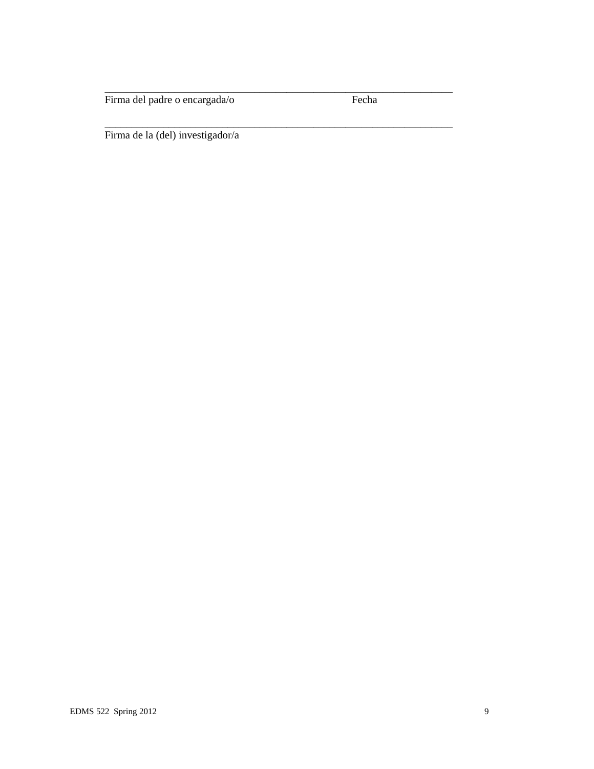Firma del padre o encargada/o Fecha

\_\_\_\_\_\_\_\_\_\_\_\_\_\_\_\_\_\_\_\_\_\_\_\_\_\_\_\_\_\_\_\_\_\_\_\_\_\_\_\_\_\_\_\_\_\_\_\_\_\_\_\_\_\_\_\_\_\_\_\_\_\_\_\_\_

\_\_\_\_\_\_\_\_\_\_\_\_\_\_\_\_\_\_\_\_\_\_\_\_\_\_\_\_\_\_\_\_\_\_\_\_\_\_\_\_\_\_\_\_\_\_\_\_\_\_\_\_\_\_\_\_\_\_\_\_\_\_\_\_\_

Firma de la (del) investigador/a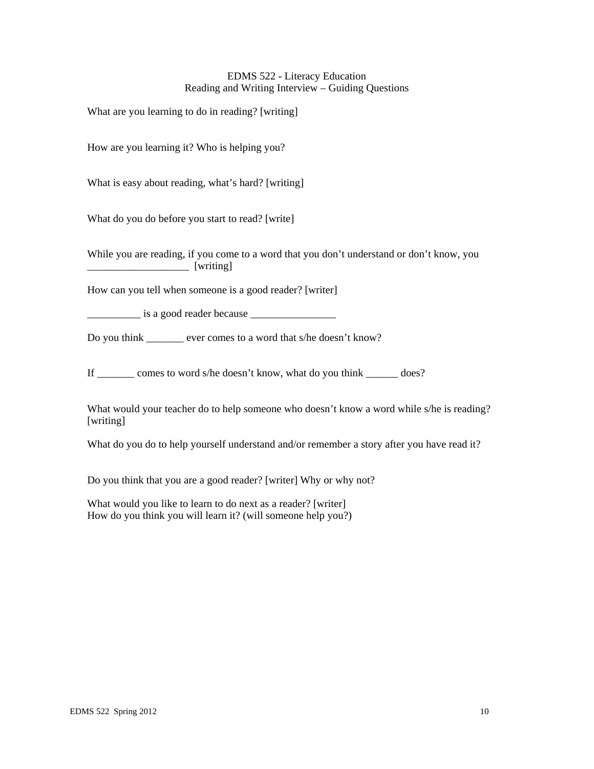# EDMS 522 - Literacy Education Reading and Writing Interview – Guiding Questions

What are you learning to do in reading? [writing]

How are you learning it? Who is helping you?

What is easy about reading, what's hard? [writing]

What do you do before you start to read? [write]

While you are reading, if you come to a word that you don't understand or don't know, you \_\_\_\_\_\_\_\_\_\_\_\_\_\_\_\_\_\_\_ [writing]

How can you tell when someone is a good reader? [writer]

\_\_\_\_\_\_\_\_\_\_ is a good reader because \_\_\_\_\_\_\_\_\_\_\_\_\_\_\_\_

Do you think ever comes to a word that s/he doesn't know?

If \_\_\_\_\_\_\_ comes to word s/he doesn't know, what do you think \_\_\_\_\_\_ does?

What would your teacher do to help someone who doesn't know a word while s/he is reading? [writing]

What do you do to help yourself understand and/or remember a story after you have read it?

Do you think that you are a good reader? [writer] Why or why not?

What would you like to learn to do next as a reader? [writer] How do you think you will learn it? (will someone help you?)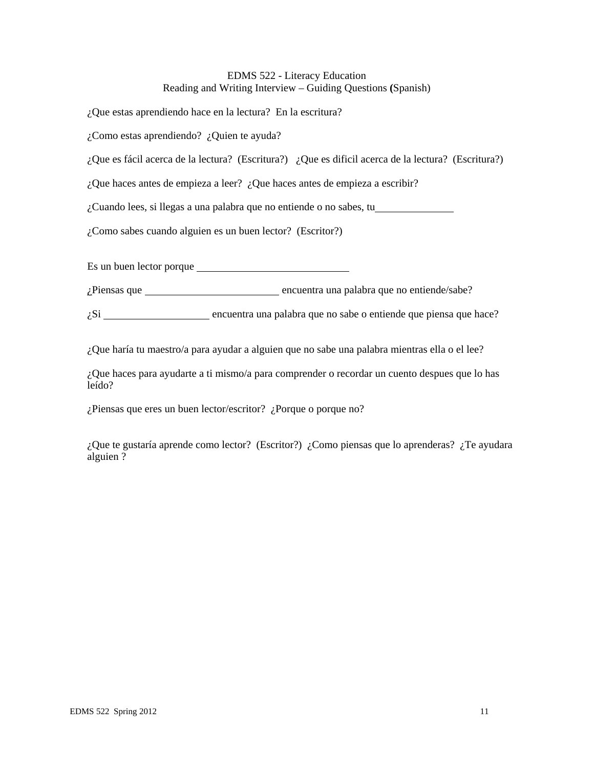# EDMS 522 - Literacy Education Reading and Writing Interview – Guiding Questions **(**Spanish)

¿Que estas aprendiendo hace en la lectura? En la escritura?

¿Como estas aprendiendo? ¿Quien te ayuda?

¿Que es fácil acerca de la lectura? (Escritura?) ¿Que es dificil acerca de la lectura? (Escritura?)

¿Que haces antes de empieza a leer? ¿Que haces antes de empieza a escribir?

¿Cuando lees, si llegas a una palabra que no entiende o no sabes, tu

¿Como sabes cuando alguien es un buen lector? (Escritor?)

Es un buen lector porque

¿Piensas que encuentra una palabra que no entiende/sabe?

 $\zeta$ Si  $\frac{1}{\zeta}$  encuentra una palabra que no sabe o entiende que piensa que hace?

¿Que haría tu maestro/a para ayudar a alguien que no sabe una palabra mientras ella o el lee?

¿Que haces para ayudarte a ti mismo/a para comprender o recordar un cuento despues que lo has leído?

¿Piensas que eres un buen lector/escritor? ¿Porque o porque no?

¿Que te gustaría aprende como lector? (Escritor?) ¿Como piensas que lo aprenderas? ¿Te ayudara alguien ?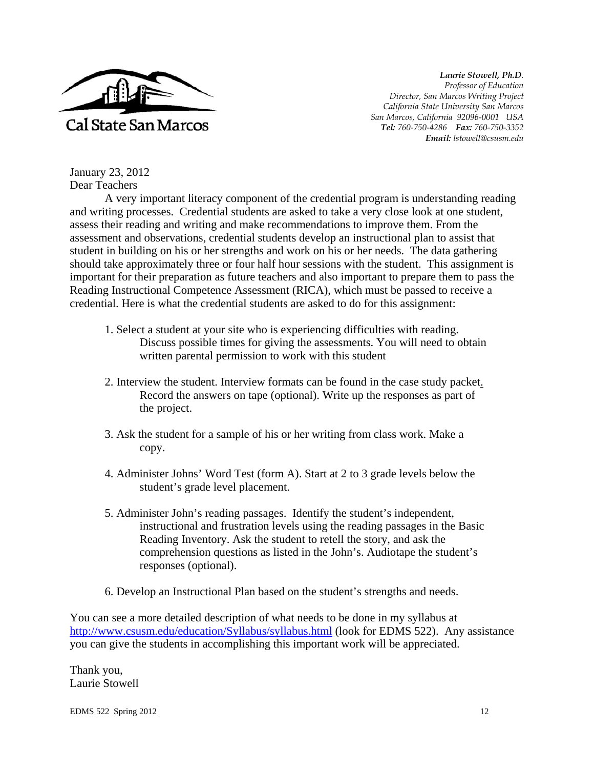

*Laurie Stowell, Ph.D. Professor of Education Director, San Marcos Writing Project California State University San Marcos San Marcos, California 92096-0001 USA Tel: 760-750-4286 Fax: 760-750-3352 Email: lstowell@csusm.edu* 

January 23, 2012 Dear Teachers

A very important literacy component of the credential program is understanding reading and writing processes. Credential students are asked to take a very close look at one student, assess their reading and writing and make recommendations to improve them. From the assessment and observations, credential students develop an instructional plan to assist that student in building on his or her strengths and work on his or her needs. The data gathering should take approximately three or four half hour sessions with the student. This assignment is important for their preparation as future teachers and also important to prepare them to pass the Reading Instructional Competence Assessment (RICA), which must be passed to receive a credential. Here is what the credential students are asked to do for this assignment:

- 1. Select a student at your site who is experiencing difficulties with reading. Discuss possible times for giving the assessments. You will need to obtain written parental permission to work with this student
- 2. Interview the student. Interview formats can be found in the case study packet. Record the answers on tape (optional). Write up the responses as part of the project.
- 3. Ask the student for a sample of his or her writing from class work. Make a copy.
- 4. Administer Johns' Word Test (form A). Start at 2 to 3 grade levels below the student's grade level placement.
- 5. Administer John's reading passages. Identify the student's independent, instructional and frustration levels using the reading passages in the Basic Reading Inventory. Ask the student to retell the story, and ask the comprehension questions as listed in the John's. Audiotape the student's responses (optional).
- 6. Develop an Instructional Plan based on the student's strengths and needs.

You can see a more detailed description of what needs to be done in my syllabus at http://www.csusm.edu/education/Syllabus/syllabus.html (look for EDMS 522). Any assistance you can give the students in accomplishing this important work will be appreciated.

Thank you, Laurie Stowell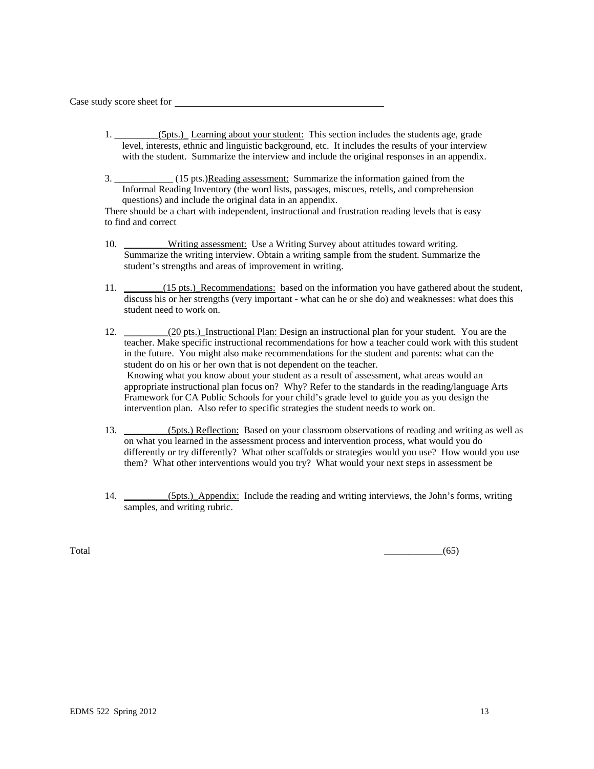Case study score sheet for

- 1. \_\_\_\_\_\_\_\_\_(5pts.)\_ Learning about your student: This section includes the students age, grade level, interests, ethnic and linguistic background, etc. It includes the results of your interview with the student. Summarize the interview and include the original responses in an appendix.
- 3. \_\_\_\_\_\_\_\_\_\_\_\_ (15 pts.)Reading assessment: Summarize the information gained from the Informal Reading Inventory (the word lists, passages, miscues, retells, and comprehension questions) and include the original data in an appendix.

There should be a chart with independent, instructional and frustration reading levels that is easy to find and correct

- 10. \_\_\_\_\_\_\_\_Writing assessment: Use a Writing Survey about attitudes toward writing. Summarize the writing interview. Obtain a writing sample from the student. Summarize the student's strengths and areas of improvement in writing.
- 11. \_\_\_\_\_\_(15 pts.)\_Recommendations: based on the information you have gathered about the student, discuss his or her strengths (very important - what can he or she do) and weaknesses: what does this student need to work on.
- 12. \_\_\_\_\_\_\_\_(20 pts.) Instructional Plan: Design an instructional plan for your student. You are the teacher. Make specific instructional recommendations for how a teacher could work with this student in the future. You might also make recommendations for the student and parents: what can the student do on his or her own that is not dependent on the teacher. Knowing what you know about your student as a result of assessment, what areas would an appropriate instructional plan focus on? Why? Refer to the standards in the reading/language Arts Framework for CA Public Schools for your child's grade level to guide you as you design the intervention plan. Also refer to specific strategies the student needs to work on.
- 13. \_\_\_\_\_\_\_\_\_(5pts.) Reflection: Based on your classroom observations of reading and writing as well as on what you learned in the assessment process and intervention process, what would you do differently or try differently? What other scaffolds or strategies would you use? How would you use them? What other interventions would you try? What would your next steps in assessment be
- 14. \_\_\_\_\_\_\_\_(5pts.) Appendix: Include the reading and writing interviews, the John's forms, writing samples, and writing rubric.

 $\overline{\text{Total}}$  (65)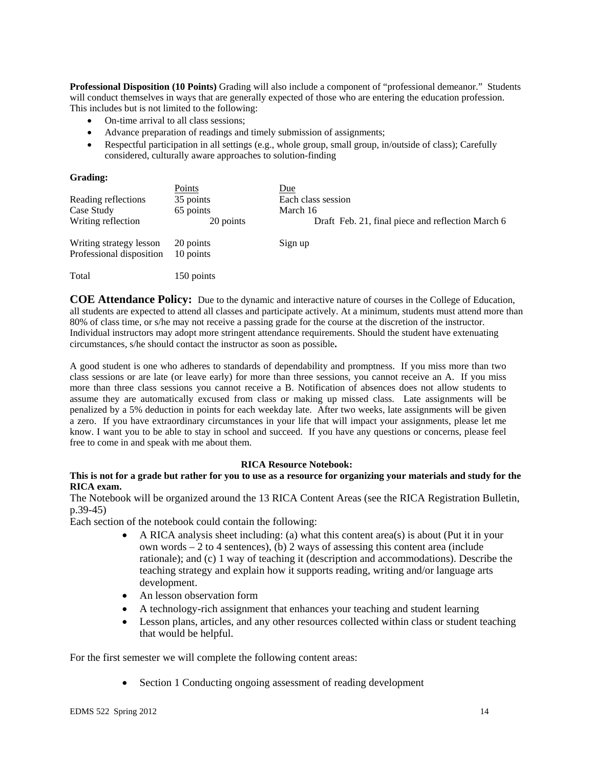**Professional Disposition (10 Points)** Grading will also include a component of "professional demeanor." Students will conduct themselves in ways that are generally expected of those who are entering the education profession. This includes but is not limited to the following:

- On-time arrival to all class sessions;
- Advance preparation of readings and timely submission of assignments;
- Respectful participation in all settings (e.g., whole group, small group, in/outside of class); Carefully considered, culturally aware approaches to solution-finding

#### **Grading:**

|                                                     | Points                 | Due                                               |
|-----------------------------------------------------|------------------------|---------------------------------------------------|
| Reading reflections                                 | 35 points              | Each class session                                |
| Case Study                                          | 65 points              | March 16                                          |
| Writing reflection                                  | 20 points              | Draft Feb. 21, final piece and reflection March 6 |
| Writing strategy lesson<br>Professional disposition | 20 points<br>10 points | Sign up                                           |
| Total                                               | 150 points             |                                                   |

**COE Attendance Policy:** Due to the dynamic and interactive nature of courses in the College of Education, all students are expected to attend all classes and participate actively. At a minimum, students must attend more than 80% of class time, or s/he may not receive a passing grade for the course at the discretion of the instructor. Individual instructors may adopt more stringent attendance requirements. Should the student have extenuating circumstances, s/he should contact the instructor as soon as possible**.** 

A good student is one who adheres to standards of dependability and promptness. If you miss more than two class sessions or are late (or leave early) for more than three sessions, you cannot receive an A. If you miss more than three class sessions you cannot receive a B. Notification of absences does not allow students to assume they are automatically excused from class or making up missed class. Late assignments will be penalized by a 5% deduction in points for each weekday late. After two weeks, late assignments will be given a zero. If you have extraordinary circumstances in your life that will impact your assignments, please let me know. I want you to be able to stay in school and succeed. If you have any questions or concerns, please feel free to come in and speak with me about them.

#### **RICA Resource Notebook:**

# **This is not for a grade but rather for you to use as a resource for organizing your materials and study for the RICA exam.**

The Notebook will be organized around the 13 RICA Content Areas (see the RICA Registration Bulletin, p.39-45)

Each section of the notebook could contain the following:

- $\bullet$  A RICA analysis sheet including: (a) what this content area(s) is about (Put it in your own words – 2 to 4 sentences), (b) 2 ways of assessing this content area (include rationale); and (c) 1 way of teaching it (description and accommodations). Describe the teaching strategy and explain how it supports reading, writing and/or language arts development.
- An lesson observation form
- A technology-rich assignment that enhances your teaching and student learning
- Lesson plans, articles, and any other resources collected within class or student teaching that would be helpful.

For the first semester we will complete the following content areas:

• Section 1 Conducting ongoing assessment of reading development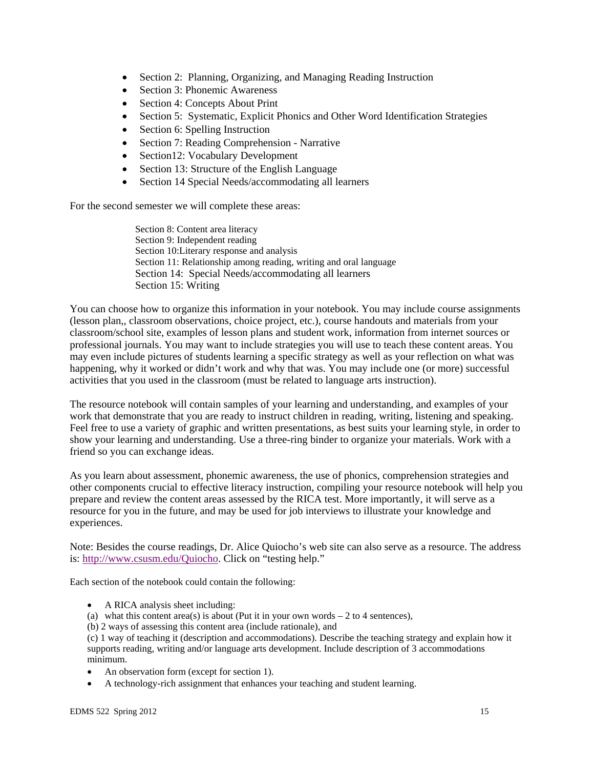- Section 2: Planning, Organizing, and Managing Reading Instruction
- Section 3: Phonemic Awareness
- Section 4: Concepts About Print
- Section 5: Systematic, Explicit Phonics and Other Word Identification Strategies
- Section 6: Spelling Instruction
- Section 7: Reading Comprehension Narrative
- Section12: Vocabulary Development
- Section 13: Structure of the English Language
- Section 14 Special Needs/accommodating all learners

For the second semester we will complete these areas:

Section 8: Content area literacy Section 9: Independent reading Section 10:Literary response and analysis Section 11: Relationship among reading, writing and oral language Section 14: Special Needs/accommodating all learners Section 15: Writing

You can choose how to organize this information in your notebook. You may include course assignments (lesson plan,, classroom observations, choice project, etc.), course handouts and materials from your classroom/school site, examples of lesson plans and student work, information from internet sources or professional journals. You may want to include strategies you will use to teach these content areas. You may even include pictures of students learning a specific strategy as well as your reflection on what was happening, why it worked or didn't work and why that was. You may include one (or more) successful activities that you used in the classroom (must be related to language arts instruction).

The resource notebook will contain samples of your learning and understanding, and examples of your work that demonstrate that you are ready to instruct children in reading, writing, listening and speaking. Feel free to use a variety of graphic and written presentations, as best suits your learning style, in order to show your learning and understanding. Use a three-ring binder to organize your materials. Work with a friend so you can exchange ideas.

As you learn about assessment, phonemic awareness, the use of phonics, comprehension strategies and other components crucial to effective literacy instruction, compiling your resource notebook will help you prepare and review the content areas assessed by the RICA test. More importantly, it will serve as a resource for you in the future, and may be used for job interviews to illustrate your knowledge and experiences.

Note: Besides the course readings, Dr. Alice Quiocho's web site can also serve as a resource. The address is: http://www.csusm.edu/Quiocho. Click on "testing help."

Each section of the notebook could contain the following:

- A RICA analysis sheet including:
- (a) what this content area(s) is about (Put it in your own words  $-2$  to 4 sentences),
- (b) 2 ways of assessing this content area (include rationale), and

 minimum. (c) 1 way of teaching it (description and accommodations). Describe the teaching strategy and explain how it supports reading, writing and/or language arts development. Include description of 3 accommodations

- An observation form (except for section 1).
- A technology-rich assignment that enhances your teaching and student learning.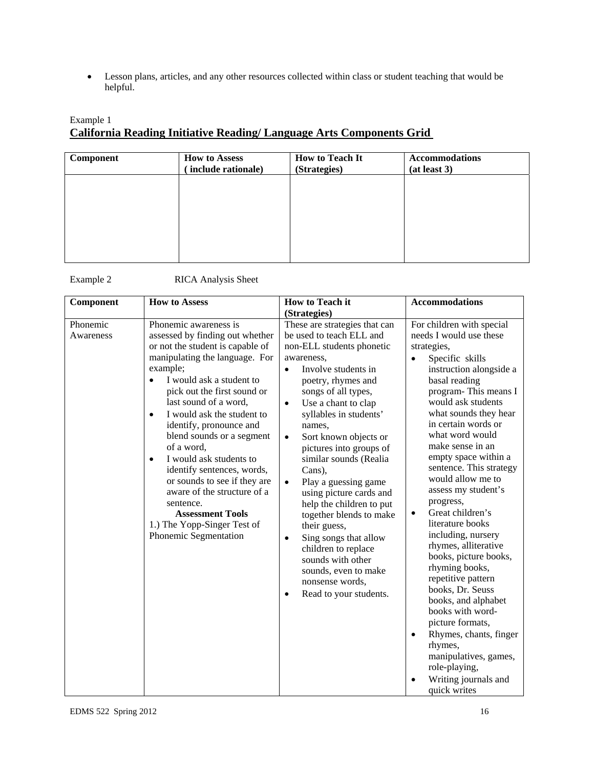Lesson plans, articles, and any other resources collected within class or student teaching that would be helpful.

# Example 1 **California Reading Initiative Reading/ Language Arts Components Grid**

| Component | <b>How to Assess</b><br>include rationale) | <b>How to Teach It</b><br>(Strategies) | <b>Accommodations</b><br>(at least 3) |
|-----------|--------------------------------------------|----------------------------------------|---------------------------------------|
|           |                                            |                                        |                                       |
|           |                                            |                                        |                                       |
|           |                                            |                                        |                                       |
|           |                                            |                                        |                                       |

Example 2 RICA Analysis Sheet

| Component             | <b>How to Assess</b>                                                                                                                                                                                                                                                                                                                                                                                                                                                                                                                                                                 | <b>How to Teach it</b>                                                                                                                                                                                                                                                                                                                                                                                                                                                                                                                                                                                                                                           | <b>Accommodations</b>                                                                                                                                                                                                                                                                                                                                                                                                                                                                                                                                                                                                                                                                                                                                                          |
|-----------------------|--------------------------------------------------------------------------------------------------------------------------------------------------------------------------------------------------------------------------------------------------------------------------------------------------------------------------------------------------------------------------------------------------------------------------------------------------------------------------------------------------------------------------------------------------------------------------------------|------------------------------------------------------------------------------------------------------------------------------------------------------------------------------------------------------------------------------------------------------------------------------------------------------------------------------------------------------------------------------------------------------------------------------------------------------------------------------------------------------------------------------------------------------------------------------------------------------------------------------------------------------------------|--------------------------------------------------------------------------------------------------------------------------------------------------------------------------------------------------------------------------------------------------------------------------------------------------------------------------------------------------------------------------------------------------------------------------------------------------------------------------------------------------------------------------------------------------------------------------------------------------------------------------------------------------------------------------------------------------------------------------------------------------------------------------------|
|                       |                                                                                                                                                                                                                                                                                                                                                                                                                                                                                                                                                                                      | (Strategies)                                                                                                                                                                                                                                                                                                                                                                                                                                                                                                                                                                                                                                                     |                                                                                                                                                                                                                                                                                                                                                                                                                                                                                                                                                                                                                                                                                                                                                                                |
| Phonemic<br>Awareness | Phonemic awareness is<br>assessed by finding out whether<br>or not the student is capable of<br>manipulating the language. For<br>example;<br>I would ask a student to<br>pick out the first sound or<br>last sound of a word,<br>I would ask the student to<br>$\bullet$<br>identify, pronounce and<br>blend sounds or a segment<br>of a word,<br>I would ask students to<br>$\bullet$<br>identify sentences, words,<br>or sounds to see if they are<br>aware of the structure of a<br>sentence.<br><b>Assessment Tools</b><br>1.) The Yopp-Singer Test of<br>Phonemic Segmentation | These are strategies that can<br>be used to teach ELL and<br>non-ELL students phonetic<br>awareness,<br>Involve students in<br>$\bullet$<br>poetry, rhymes and<br>songs of all types,<br>Use a chant to clap<br>$\bullet$<br>syllables in students'<br>names,<br>Sort known objects or<br>$\bullet$<br>pictures into groups of<br>similar sounds (Realia<br>Cans),<br>Play a guessing game<br>$\bullet$<br>using picture cards and<br>help the children to put<br>together blends to make<br>their guess,<br>Sing songs that allow<br>$\bullet$<br>children to replace<br>sounds with other<br>sounds, even to make<br>nonsense words,<br>Read to your students. | For children with special<br>needs I would use these<br>strategies,<br>Specific skills<br>$\bullet$<br>instruction alongside a<br>basal reading<br>program-This means I<br>would ask students<br>what sounds they hear<br>in certain words or<br>what word would<br>make sense in an<br>empty space within a<br>sentence. This strategy<br>would allow me to<br>assess my student's<br>progress,<br>Great children's<br>literature books<br>including, nursery<br>rhymes, alliterative<br>books, picture books,<br>rhyming books,<br>repetitive pattern<br>books, Dr. Seuss<br>books, and alphabet<br>books with word-<br>picture formats,<br>Rhymes, chants, finger<br>$\bullet$<br>rhymes,<br>manipulatives, games,<br>role-playing,<br>Writing journals and<br>quick writes |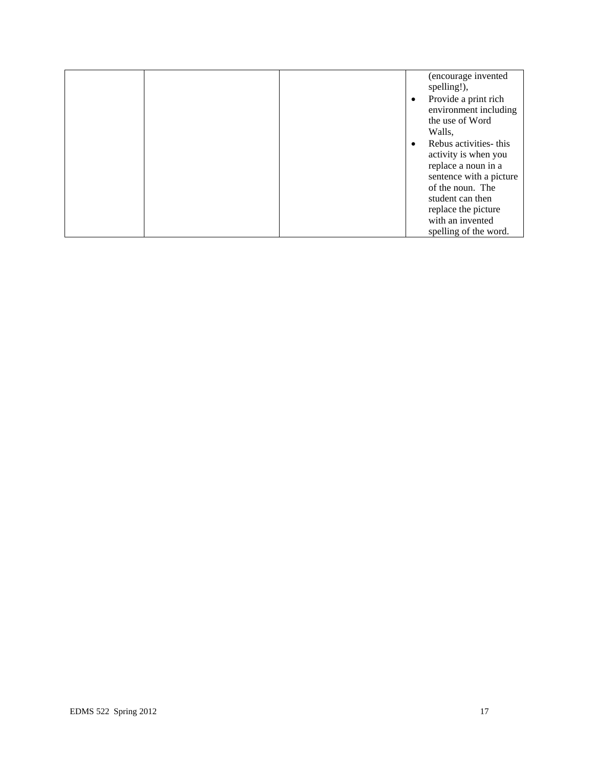|  |  |           | (encourage invented<br>spelling!), |
|--|--|-----------|------------------------------------|
|  |  | $\bullet$ | Provide a print rich               |
|  |  |           | environment including              |
|  |  |           | the use of Word                    |
|  |  |           | Walls,                             |
|  |  | $\bullet$ | Rebus activities- this             |
|  |  |           | activity is when you               |
|  |  |           | replace a noun in a                |
|  |  |           | sentence with a picture            |
|  |  |           | of the noun. The                   |
|  |  |           | student can then                   |
|  |  |           | replace the picture                |
|  |  |           | with an invented                   |
|  |  |           | spelling of the word.              |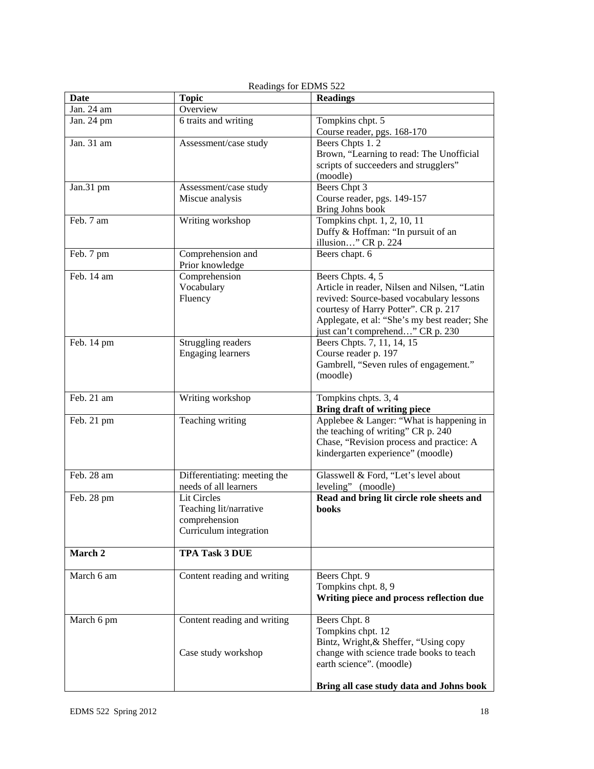| <b>Date</b> | <b>Topic</b>                 | <b>Readings</b>                              |
|-------------|------------------------------|----------------------------------------------|
| Jan. 24 am  | Overview                     |                                              |
| Jan. 24 pm  | 6 traits and writing         | Tompkins chpt. 5                             |
|             |                              | Course reader, pgs. 168-170                  |
| Jan. 31 am  | Assessment/case study        | Beers Chpts 1.2                              |
|             |                              | Brown, "Learning to read: The Unofficial     |
|             |                              | scripts of succeeders and strugglers"        |
|             |                              | (moodle)                                     |
| Jan.31 pm   | Assessment/case study        | Beers Chpt 3                                 |
|             | Miscue analysis              | Course reader, pgs. 149-157                  |
|             |                              | Bring Johns book                             |
| Feb. 7 am   | Writing workshop             | Tompkins chpt. 1, 2, 10, 11                  |
|             |                              |                                              |
|             |                              | Duffy & Hoffman: "In pursuit of an           |
|             |                              | illusion" CR p. 224                          |
| Feb. 7 pm   | Comprehension and            | Beers chapt. 6                               |
|             | Prior knowledge              |                                              |
| Feb. 14 am  | Comprehension                | Beers Chpts. 4, 5                            |
|             | Vocabulary                   | Article in reader, Nilsen and Nilsen, "Latin |
|             | Fluency                      | revived: Source-based vocabulary lessons     |
|             |                              | courtesy of Harry Potter". CR p. 217         |
|             |                              | Applegate, et al: "She's my best reader; She |
|             |                              | just can't comprehend" CR p. 230             |
| Feb. 14 pm  | Struggling readers           | Beers Chpts. 7, 11, 14, 15                   |
|             | <b>Engaging learners</b>     | Course reader p. 197                         |
|             |                              | Gambrell, "Seven rules of engagement."       |
|             |                              | (moodle)                                     |
|             |                              |                                              |
| Feb. 21 am  | Writing workshop             | Tompkins chpts. 3, 4                         |
|             |                              | <b>Bring draft of writing piece</b>          |
| Feb. 21 pm  | Teaching writing             | Applebee & Langer: "What is happening in     |
|             |                              | the teaching of writing" CR p. 240           |
|             |                              | Chase, "Revision process and practice: A     |
|             |                              | kindergarten experience" (moodle)            |
|             |                              |                                              |
| Feb. 28 am  | Differentiating: meeting the | Glasswell & Ford, "Let's level about         |
|             | needs of all learners        | leveling" (moodle)                           |
| Feb. 28 pm  | <b>Lit Circles</b>           | Read and bring lit circle role sheets and    |
|             | Teaching lit/narrative       | books                                        |
|             | comprehension                |                                              |
|             | Curriculum integration       |                                              |
|             |                              |                                              |
| March 2     | <b>TPA Task 3 DUE</b>        |                                              |
|             |                              |                                              |
| March 6 am  | Content reading and writing  | Beers Chpt. 9                                |
|             |                              | Tompkins chpt. 8, 9                          |
|             |                              | Writing piece and process reflection due     |
|             |                              |                                              |
| March 6 pm  | Content reading and writing  | Beers Chpt. 8                                |
|             |                              | Tompkins chpt. 12                            |
|             |                              | Bintz, Wright, & Sheffer, "Using copy        |
|             | Case study workshop          | change with science trade books to teach     |
|             |                              | earth science". (moodle)                     |
|             |                              |                                              |
|             |                              | Bring all case study data and Johns book     |

Readings for EDMS 522